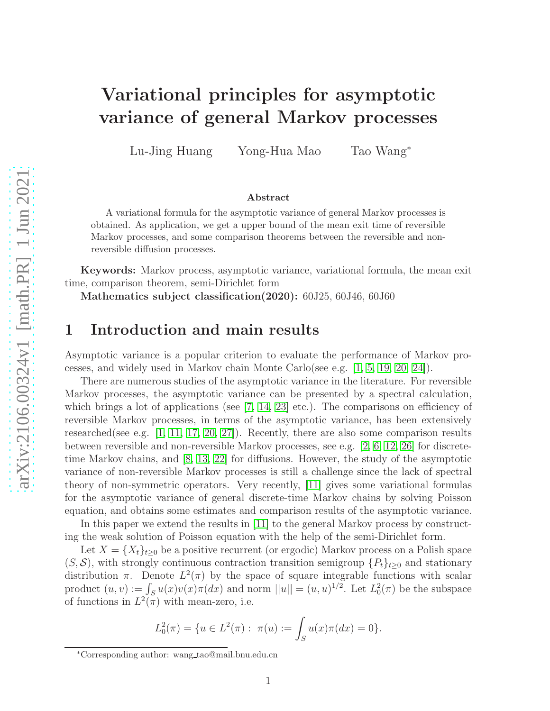# Variational principles for asymptotic variance of general Markov processes

Lu-Jing Huang Yong-Hua Mao Tao Wang<sup>∗</sup>

#### Abstract

A variational formula for the asymptotic variance of general Markov processes is obtained. As application, we get a upper bound of the mean exit time of reversible Markov processes, and some comparison theorems between the reversible and nonreversible diffusion processes.

Keywords: Markov process, asymptotic variance, variational formula, the mean exit time, comparison theorem, semi-Dirichlet form

Mathematics subject classification(2020): 60J25, 60J46, 60J60

### 1 Introduction and main results

Asymptotic variance is a popular criterion to evaluate the performance of Markov processes, and widely used in Markov chain Monte Carlo(see e.g. [\[1,](#page-11-0) [5,](#page-11-1) [19,](#page-12-0) [20,](#page-12-1) [24\]](#page-12-2)).

There are numerous studies of the asymptotic variance in the literature. For reversible Markov processes, the asymptotic variance can be presented by a spectral calculation, which brings a lot of applications (see  $[7, 14, 23]$  $[7, 14, 23]$  $[7, 14, 23]$  etc.). The comparisons on efficiency of reversible Markov processes, in terms of the asymptotic variance, has been extensively researched(see e.g.  $[1, 11, 17, 20, 27]$  $[1, 11, 17, 20, 27]$  $[1, 11, 17, 20, 27]$  $[1, 11, 17, 20, 27]$  $[1, 11, 17, 20, 27]$ ). Recently, there are also some comparison results between reversible and non-reversible Markov processes, see e.g. [\[2,](#page-11-3) [6,](#page-11-4) [12,](#page-12-7) [26\]](#page-12-8) for discretetime Markov chains, and [\[8,](#page-11-5) [13,](#page-12-9) [22\]](#page-12-10) for diffusions. However, the study of the asymptotic variance of non-reversible Markov processes is still a challenge since the lack of spectral theory of non-symmetric operators. Very recently, [\[11\]](#page-12-5) gives some variational formulas for the asymptotic variance of general discrete-time Markov chains by solving Poisson equation, and obtains some estimates and comparison results of the asymptotic variance.

In this paper we extend the results in [\[11\]](#page-12-5) to the general Markov process by constructing the weak solution of Poisson equation with the help of the semi-Dirichlet form.

Let  $X = \{X_t\}_{t\geq 0}$  be a positive recurrent (or ergodic) Markov process on a Polish space  $(S, S)$ , with strongly continuous contraction transition semigroup  $\{P_t\}_{t>0}$  and stationary distribution  $\pi$ . Denote  $L^2(\pi)$  by the space of square integrable functions with scalar product  $(u, v) := \int_S u(x)v(x)\pi(dx)$  and norm  $||u|| = (u, u)^{1/2}$ . Let  $L_0^2(\pi)$  be the subspace of functions in  $L^2(\pi)$  with mean-zero, i.e.

$$
L_0^2(\pi) = \{ u \in L^2(\pi) : \ \pi(u) := \int_S u(x)\pi(dx) = 0 \}.
$$

<sup>∗</sup>Corresponding author: wang tao@mail.bnu.edu.cn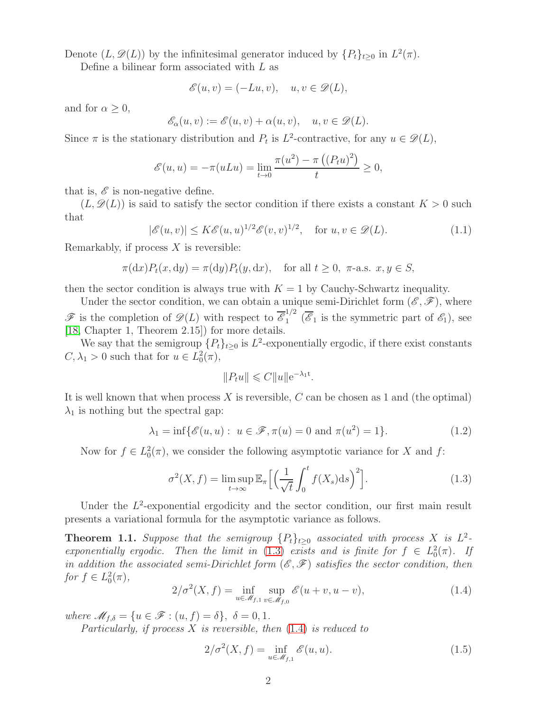Denote  $(L, \mathscr{D}(L))$  by the infinitesimal generator induced by  $\{P_t\}_{t\geq 0}$  in  $L^2(\pi)$ .

Define a bilinear form associated with  $L$  as

$$
\mathscr{E}(u,v)=(-Lu,v),\quad u,v\in\mathscr{D}(L),
$$

and for  $\alpha \geq 0$ ,

$$
\mathscr{E}_{\alpha}(u,v):=\mathscr{E}(u,v)+\alpha(u,v),\quad u,v\in\mathscr{D}(L).
$$

Since  $\pi$  is the stationary distribution and  $P_t$  is  $L^2$ -contractive, for any  $u \in \mathcal{D}(L)$ ,

$$
\mathscr{E}(u, u) = -\pi(uLu) = \lim_{t \to 0} \frac{\pi(u^2) - \pi((P_t u)^2)}{t} \ge 0,
$$

that is,  $\mathscr E$  is non-negative define.

<span id="page-1-5"></span> $(L, \mathscr{D}(L))$  is said to satisfy the sector condition if there exists a constant  $K > 0$  such that

$$
|\mathscr{E}(u,v)| \le K\mathscr{E}(u,u)^{1/2}\mathscr{E}(v,v)^{1/2}, \quad \text{for } u,v \in \mathscr{D}(L). \tag{1.1}
$$

Remarkably, if process  $X$  is reversible:

$$
\pi(\mathrm{d}x)P_t(x,\mathrm{d}y) = \pi(\mathrm{d}y)P_t(y,\mathrm{d}x), \quad \text{for all } t \ge 0, \ \pi\text{-a.s. } x, y \in S,
$$

then the sector condition is always true with  $K = 1$  by Cauchy-Schwartz inequality.

Under the sector condition, we can obtain a unique semi-Dirichlet form  $(\mathscr{E}, \mathscr{F})$ , where  $\mathscr{F}$  is the completion of  $\mathscr{D}(L)$  with respect to  $\overline{\mathscr{E}}_1^{1/2}$  $\begin{bmatrix} 1/2 \\ 1 \end{bmatrix}$  ( $\overline{\mathscr{E}}_1$  is the symmetric part of  $\mathscr{E}_1$ ), see [\[18,](#page-12-11) Chapter 1, Theorem 2.15]) for more details.

We say that the semigroup  $\{P_t\}_{t\geq 0}$  is  $L^2$ -exponentially ergodic, if there exist constants  $C, \lambda_1 > 0$  such that for  $u \in L_0^2(\pi)$ ,

<span id="page-1-3"></span><span id="page-1-0"></span>
$$
||P_t u|| \leqslant C||u||e^{-\lambda_1 t}.
$$

It is well known that when process  $X$  is reversible,  $C$  can be chosen as 1 and (the optimal)  $\lambda_1$  is nothing but the spectral gap:

$$
\lambda_1 = \inf \{ \mathcal{E}(u, u) : u \in \mathcal{F}, \pi(u) = 0 \text{ and } \pi(u^2) = 1 \}. \tag{1.2}
$$

Now for  $f \in L_0^2(\pi)$ , we consider the following asymptotic variance for X and f:

$$
\sigma^{2}(X,f) = \limsup_{t \to \infty} \mathbb{E}_{\pi} \Big[ \Big( \frac{1}{\sqrt{t}} \int_{0}^{t} f(X_{s}) \mathrm{d}s \Big)^{2} \Big]. \tag{1.3}
$$

Under the  $L^2$ -exponential ergodicity and the sector condition, our first main result presents a variational formula for the asymptotic variance as follows.

<span id="page-1-2"></span>**Theorem 1.1.** Suppose that the semigroup  $\{P_t\}_{t\geq 0}$  associated with process X is  $L^2$ . exponentially ergodic. Then the limit in [\(1.3\)](#page-1-0) exists and is finite for  $f \in L_0^2(\pi)$ . If in addition the associated semi-Dirichlet form  $(\mathscr{E}, \mathscr{F})$  satisfies the sector condition, then for  $f \in L_0^2(\pi)$ ,

<span id="page-1-1"></span>
$$
2/\sigma^{2}(X,f) = \inf_{u \in \mathcal{M}_{f,1}} \sup_{v \in \mathcal{M}_{f,0}} \mathcal{E}(u+v, u-v),
$$
\n(1.4)

where  $\mathscr{M}_{f,\delta} = \{u \in \mathscr{F} : (u,f)=\delta\}, \ \delta = 0,1.$ 

Particularly, if process  $X$  is reversible, then  $(1.4)$  is reduced to

<span id="page-1-4"></span>
$$
2/\sigma^2(X,f) = \inf_{u \in \mathcal{M}_{f,1}} \mathcal{E}(u,u). \tag{1.5}
$$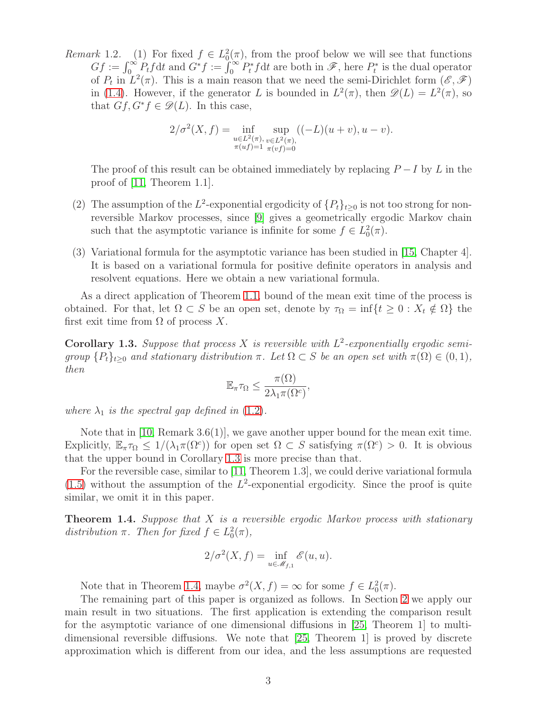Remark 1.2. (1) For fixed  $f \in L_0^2(\pi)$ , from the proof below we will see that functions  $Gf := \int_0^\infty P_t f \mathrm{d}t$  and  $G^* f := \int_0^\infty P_t^* f \mathrm{d}t$  are both in  $\mathscr{F}$ , here  $P_t^*$  is the dual operator of  $P_t$  in  $L^2(\pi)$ . This is a main reason that we need the semi-Dirichlet form  $(\mathscr{E}, \mathscr{F})$ in [\(1.4\)](#page-1-1). However, if the generator L is bounded in  $L^2(\pi)$ , then  $\mathscr{D}(L) = L^2(\pi)$ , so that  $Gf, G^*f \in \mathscr{D}(L)$ . In this case,

$$
2/\sigma^{2}(X,f) = \inf_{\substack{u \in L^{2}(\pi), \\ \pi(uf)=1}} \sup_{\substack{v \in L^{2}(\pi), \\ \pi(vf)=0}} ((-L)(u+v), u-v).
$$

The proof of this result can be obtained immediately by replacing  $P-I$  by L in the proof of [\[11,](#page-12-5) Theorem 1.1].

- (2) The assumption of the  $L^2$ -exponential ergodicity of  $\{P_t\}_{t\geq 0}$  is not too strong for nonreversible Markov processes, since [\[9\]](#page-11-6) gives a geometrically ergodic Markov chain such that the asymptotic variance is infinite for some  $f \in L_0^2(\pi)$ .
- (3) Variational formula for the asymptotic variance has been studied in [\[15,](#page-12-12) Chapter 4]. It is based on a variational formula for positive definite operators in analysis and resolvent equations. Here we obtain a new variational formula.

As a direct application of Theorem [1.1,](#page-1-2) bound of the mean exit time of the process is obtained. For that, let  $\Omega \subset S$  be an open set, denote by  $\tau_{\Omega} = \inf\{t \geq 0 : X_t \notin \Omega\}$  the first exit time from  $\Omega$  of process X.

<span id="page-2-0"></span>**Corollary 1.3.** Suppose that process X is reversible with  $L^2$ -exponentially ergodic semigroup  $\{P_t\}_{t>0}$  and stationary distribution  $\pi$ . Let  $\Omega \subset S$  be an open set with  $\pi(\Omega) \in (0,1)$ , then

$$
\mathbb{E}_{\pi}\tau_{\Omega} \leq \frac{\pi(\Omega)}{2\lambda_1\pi(\Omega^c)},
$$

where  $\lambda_1$  is the spectral gap defined in [\(1.2\)](#page-1-3).

Note that in  $[10, \text{Remark } 3.6(1)]$ , we gave another upper bound for the mean exit time. Explicitly,  $\mathbb{E}_{\pi} \tau_{\Omega} \leq 1/(\lambda_1 \pi(\Omega^c))$  for open set  $\Omega \subset S$  satisfying  $\pi(\Omega^c) > 0$ . It is obvious that the upper bound in Corollary [1.3](#page-2-0) is more precise than that.

For the reversible case, similar to [\[11,](#page-12-5) Theorem 1.3], we could derive variational formula  $(1.5)$  without the assumption of the  $L^2$ -exponential ergodicity. Since the proof is quite similar, we omit it in this paper.

<span id="page-2-1"></span>**Theorem 1.4.** Suppose that X is a reversible ergodic Markov process with stationary distribution  $\pi$ . Then for fixed  $f \in L_0^2(\pi)$ ,

$$
2/\sigma^2(X, f) = \inf_{u \in \mathcal{M}_{f,1}} \mathcal{E}(u, u).
$$

Note that in Theorem [1.4,](#page-2-1) maybe  $\sigma^2(X, f) = \infty$  for some  $f \in L_0^2(\pi)$ .

The remaining part of this paper is organized as follows. In Section [2](#page-3-0) we apply our main result in two situations. The first application is extending the comparison result for the asymptotic variance of one dimensional diffusions in [\[25,](#page-12-14) Theorem 1] to multidimensional reversible diffusions. We note that [\[25,](#page-12-14) Theorem 1] is proved by discrete approximation which is different from our idea, and the less assumptions are requested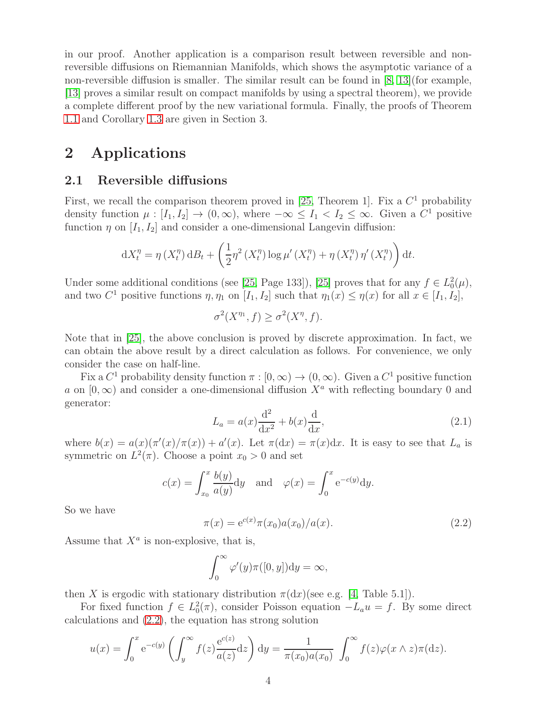in our proof. Another application is a comparison result between reversible and nonreversible diffusions on Riemannian Manifolds, which shows the asymptotic variance of a non-reversible diffusion is smaller. The similar result can be found in  $[8, 13]$  $[8, 13]$  (for example, [\[13\]](#page-12-9) proves a similar result on compact manifolds by using a spectral theorem), we provide a complete different proof by the new variational formula. Finally, the proofs of Theorem [1.1](#page-1-2) and Corollary [1.3](#page-2-0) are given in Section 3.

## <span id="page-3-0"></span>2 Applications

#### 2.1 Reversible diffusions

First, we recall the comparison theorem proved in [\[25,](#page-12-14) Theorem 1]. Fix a  $C<sup>1</sup>$  probability density function  $\mu : [I_1, I_2] \to (0, \infty)$ , where  $-\infty \leq I_1 < I_2 \leq \infty$ . Given a  $C^1$  positive function  $\eta$  on  $[I_1, I_2]$  and consider a one-dimensional Langevin diffusion:

$$
dX_t^{\eta} = \eta(X_t^{\eta}) dB_t + \left(\frac{1}{2}\eta^2(X_t^{\eta})\log \mu'(X_t^{\eta}) + \eta(X_t^{\eta})\eta'(X_t^{\eta})\right)dt.
$$

Under some additional conditions (see [\[25,](#page-12-14) Page 133]), [\[25\]](#page-12-14) proves that for any  $f \in L_0^2(\mu)$ , and two  $C^1$  positive functions  $\eta$ ,  $\eta_1$  on  $[I_1, I_2]$  such that  $\eta_1(x) \leq \eta(x)$  for all  $x \in [I_1, I_2]$ ,

$$
\sigma^2(X^{\eta_1}, f) \ge \sigma^2(X^{\eta}, f).
$$

Note that in [\[25\]](#page-12-14), the above conclusion is proved by discrete approximation. In fact, we can obtain the above result by a direct calculation as follows. For convenience, we only consider the case on half-line.

<span id="page-3-2"></span>Fix a  $C^1$  probability density function  $\pi : [0, \infty) \to (0, \infty)$ . Given a  $C^1$  positive function a on  $[0, \infty)$  and consider a one-dimensional diffusion  $X^a$  with reflecting boundary 0 and generator:

$$
L_a = a(x)\frac{\mathrm{d}^2}{\mathrm{d}x^2} + b(x)\frac{\mathrm{d}}{\mathrm{d}x},\tag{2.1}
$$

where  $b(x) = a(x)(\pi'(x)/\pi(x)) + a'(x)$ . Let  $\pi(dx) = \pi(x)dx$ . It is easy to see that  $L_a$  is symmetric on  $L^2(\pi)$ . Choose a point  $x_0 > 0$  and set

$$
c(x) = \int_{x_0}^x \frac{b(y)}{a(y)} dy \quad \text{and} \quad \varphi(x) = \int_0^x e^{-c(y)} dy.
$$

<span id="page-3-1"></span>So we have

$$
\pi(x) = e^{c(x)} \pi(x_0) a(x_0) / a(x).
$$
\n(2.2)

Assume that  $X^a$  is non-explosive, that is,

$$
\int_0^\infty \varphi'(y)\pi([0, y])\mathrm{d}y = \infty,
$$

then X is ergodic with stationary distribution  $\pi(dx)$ (see e.g. [\[4,](#page-11-7) Table 5.1]).

For fixed function  $f \in L_0^2(\pi)$ , consider Poisson equation  $-L_a u = f$ . By some direct calculations and [\(2.2\)](#page-3-1), the equation has strong solution

$$
u(x) = \int_0^x e^{-c(y)} \left( \int_y^\infty f(z) \frac{e^{c(z)}}{a(z)} dz \right) dy = \frac{1}{\pi(x_0) a(x_0)} \int_0^\infty f(z) \varphi(x \wedge z) \pi(dz).
$$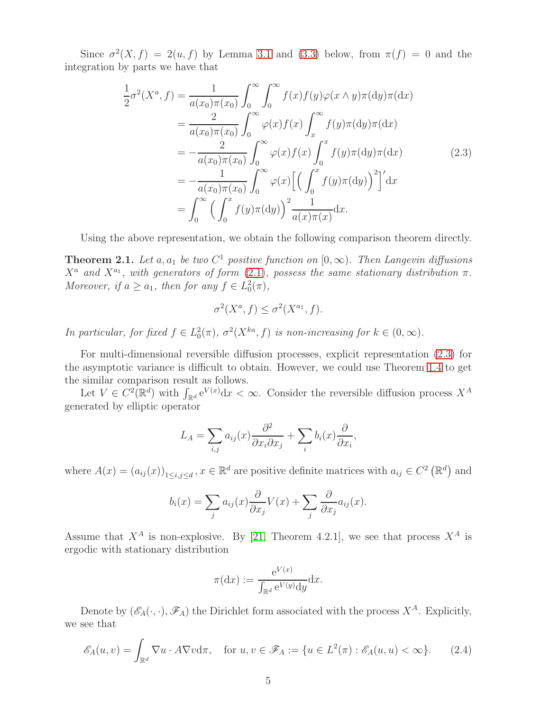Since  $\sigma^2(X, f) = 2(u, f)$  by Lemma [3.1](#page-8-0) and [\(3.3\)](#page-9-0) below, from  $\pi(f) = 0$  and the integration by parts we have that

<span id="page-4-0"></span>
$$
\frac{1}{2}\sigma^2(X^a, f) = \frac{1}{a(x_0)\pi(x_0)} \int_0^\infty \int_0^\infty f(x)f(y)\varphi(x\wedge y)\pi(\mathrm{d}y)\pi(\mathrm{d}x)
$$
\n
$$
= \frac{2}{a(x_0)\pi(x_0)} \int_0^\infty \varphi(x)f(x) \int_x^\infty f(y)\pi(\mathrm{d}y)\pi(\mathrm{d}x)
$$
\n
$$
= -\frac{2}{a(x_0)\pi(x_0)} \int_0^\infty \varphi(x)f(x) \int_0^x f(y)\pi(\mathrm{d}y)\pi(\mathrm{d}x) \qquad (2.3)
$$
\n
$$
= -\frac{1}{a(x_0)\pi(x_0)} \int_0^\infty \varphi(x)\left[\left(\int_0^x f(y)\pi(\mathrm{d}y)\right)^2\right]' \mathrm{d}x
$$
\n
$$
= \int_0^\infty \left(\int_0^x f(y)\pi(\mathrm{d}y)\right)^2 \frac{1}{a(x)\pi(x)} \mathrm{d}x.
$$

Using the above representation, we obtain the following comparison theorem directly.

**Theorem 2.1.** Let a,  $a_1$  be two  $C^1$  positive function on  $[0, \infty)$ . Then Langevin diffusions  $X^a$  and  $X^{a_1}$ , with generators of form  $(2.1)$ , possess the same stationary distribution  $\pi$ . Moreover, if  $a \ge a_1$ , then for any  $f \in L_0^2(\pi)$ ,

$$
\sigma^2(X^a, f) \le \sigma^2(X^{a_1}, f).
$$

In particular, for fixed  $f \in L_0^2(\pi)$ ,  $\sigma^2(X^{ka}, f)$  is non-increasing for  $k \in (0, \infty)$ .

For multi-dimensional reversible diffusion processes, explicit representation [\(2.3\)](#page-4-0) for the asymptotic variance is difficult to obtain. However, we could use Theorem [1.4](#page-2-1) to get the similar comparison result as follows.

Let  $V \in C^2(\mathbb{R}^d)$  with  $\int_{\mathbb{R}^d} e^{V(x)} dx < \infty$ . Consider the reversible diffusion process  $X^A$ generated by elliptic operator

$$
L_A = \sum_{i,j} a_{ij}(x) \frac{\partial^2}{\partial x_i \partial x_j} + \sum_i b_i(x) \frac{\partial}{\partial x_i},
$$

where  $A(x) = (a_{ij}(x))_{1 \le i,j \le d}$ ,  $x \in \mathbb{R}^d$  are positive definite matrices with  $a_{ij} \in C^2(\mathbb{R}^d)$  and

$$
b_i(x) = \sum_j a_{ij}(x) \frac{\partial}{\partial x_j} V(x) + \sum_j \frac{\partial}{\partial x_j} a_{ij}(x).
$$

Assume that  $X^A$  is non-explosive. By [\[21,](#page-12-15) Theorem 4.2.1], we see that process  $X^A$  is ergodic with stationary distribution

$$
\pi(\mathrm{d}x) := \frac{\mathrm{e}^{V(x)}}{\int_{\mathbb{R}^d} \mathrm{e}^{V(y)} \mathrm{d}y} \mathrm{d}x.
$$

Denote by  $(\mathscr{E}_A(\cdot,\cdot), \mathscr{F}_A)$  the Dirichlet form associated with the process  $X^A$ . Explicitly, we see that

<span id="page-4-1"></span>
$$
\mathscr{E}_A(u,v) = \int_{\mathbb{R}^d} \nabla u \cdot A \nabla v d\pi, \quad \text{for } u, v \in \mathscr{F}_A := \{ u \in L^2(\pi) : \mathscr{E}_A(u, u) < \infty \}. \tag{2.4}
$$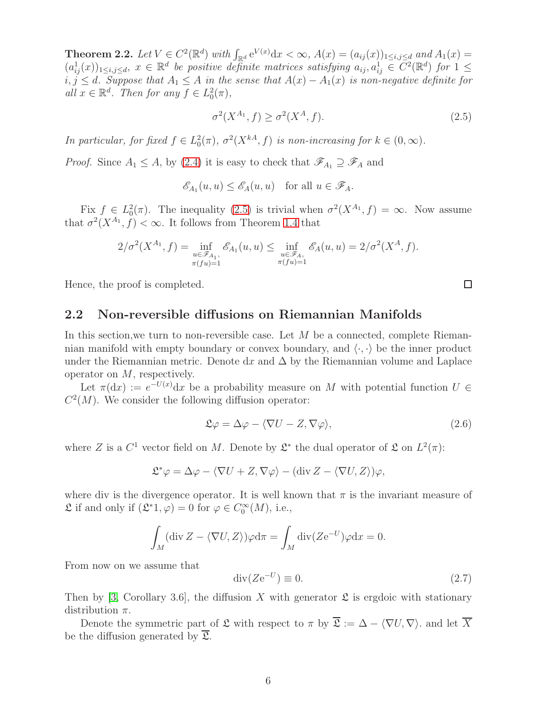**Theorem 2.2.** Let  $V \in C^2(\mathbb{R}^d)$  with  $\int_{\mathbb{R}^d} e^{V(x)} dx < \infty$ ,  $A(x) = (a_{ij}(x))_{1 \le i,j \le d}$  and  $A_1(x) =$  $(a_{ij}^1(x))_{1\leq i,j\leq d}, x \in \mathbb{R}^d$  be positive definite matrices satisfying  $a_{ij}, a_{ij}^1 \in C^2(\mathbb{R}^d)$  for  $1 \leq$  $i, j \leq d$ . Suppose that  $A_1 \leq A$  in the sense that  $A(x) - A_1(x)$  is non-negative definite for all  $x \in \mathbb{R}^d$ . Then for any  $f \in L_0^2(\pi)$ ,

<span id="page-5-0"></span>
$$
\sigma^2(X^{A_1}, f) \ge \sigma^2(X^A, f). \tag{2.5}
$$

In particular, for fixed  $f \in L_0^2(\pi)$ ,  $\sigma^2(X^{kA}, f)$  is non-increasing for  $k \in (0, \infty)$ .

*Proof.* Since  $A_1 \leq A$ , by [\(2.4\)](#page-4-1) it is easy to check that  $\mathscr{F}_{A_1} \supseteq \mathscr{F}_A$  and

$$
\mathscr{E}_{A_1}(u, u) \leq \mathscr{E}_A(u, u)
$$
 for all  $u \in \mathscr{F}_A$ .

Fix  $f \in L_0^2(\pi)$ . The inequality [\(2.5\)](#page-5-0) is trivial when  $\sigma^2(X^{A_1}, f) = \infty$ . Now assume that  $\sigma^2(X^{A_1}, f) < \infty$ . It follows from Theorem [1.4](#page-2-1) that

$$
2/\sigma^{2}(X^{A_1}, f) = \inf_{\substack{u \in \mathscr{F}_{A_1}, \\ \pi(fu) = 1}} \mathscr{E}_{A_1}(u, u) \le \inf_{\substack{u \in \mathscr{F}_{A}, \\ \pi(fu) = 1}} \mathscr{E}_{A}(u, u) = 2/\sigma^{2}(X^{A}, f).
$$

Hence, the proof is completed.

#### 2.2 Non-reversible diffusions on Riemannian Manifolds

In this section, we turn to non-reversible case. Let  $M$  be a connected, complete Riemannian manifold with empty boundary or convex boundary, and  $\langle \cdot, \cdot \rangle$  be the inner product under the Riemannian metric. Denote dx and  $\Delta$  by the Riemannian volume and Laplace operator on M, respectively.

Let  $\pi(\mathrm{d}x) := e^{-U(x)} \mathrm{d}x$  be a probability measure on M with potential function  $U \in$  $C<sup>2</sup>(M)$ . We consider the following diffusion operator:

$$
\mathfrak{L}\varphi = \Delta\varphi - \langle \nabla U - Z, \nabla\varphi \rangle, \tag{2.6}
$$

where Z is a  $C^1$  vector field on M. Denote by  $\mathfrak{L}^*$  the dual operator of  $\mathfrak{L}$  on  $L^2(\pi)$ :

$$
\mathfrak{L}^*\varphi = \Delta\varphi - \langle \nabla U + Z, \nabla\varphi \rangle - (\text{div}\,Z - \langle \nabla U, Z \rangle)\varphi,
$$

where div is the divergence operator. It is well known that  $\pi$  is the invariant measure of  $\mathfrak L$  if and only if  $(\mathfrak L^* 1,\varphi)=0$  for  $\varphi\in C_0^\infty(M)$ , i.e.,

$$
\int_M (\operatorname{div} Z - \langle \nabla U, Z \rangle) \varphi \mathrm{d}\pi = \int_M \operatorname{div} (Z e^{-U}) \varphi \mathrm{d}x = 0.
$$

From now on we assume that

<span id="page-5-1"></span>
$$
\operatorname{div}(Ze^{-U}) \equiv 0. \tag{2.7}
$$

Then by [\[3,](#page-11-8) Corollary 3.6], the diffusion X with generator  $\mathfrak L$  is ergdoic with stationary distribution  $\pi$ .

Denote the symmetric part of  $\mathfrak L$  with respect to  $\pi$  by  $\overline{\mathfrak L} := \Delta - \langle \nabla U, \nabla \rangle$ . and let  $\overline{X}$ be the diffusion generated by  $\overline{2}$ .

 $\Box$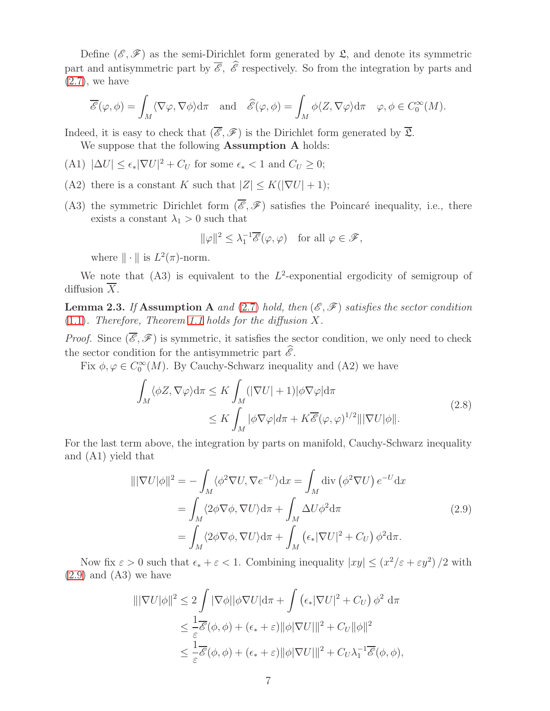Define  $(\mathscr{E}, \mathscr{F})$  as the semi-Dirichlet form generated by  $\mathfrak{L}$ , and denote its symmetric part and antisymmetric part by  $\overline{\mathscr{E}}$ ,  $\widehat{\mathscr{E}}$  respectively. So from the integration by parts and  $(2.7)$ , we have

$$
\overline{\mathscr{E}}(\varphi,\phi) = \int_M \langle \nabla \varphi, \nabla \phi \rangle d\pi \quad \text{and} \quad \widehat{\mathscr{E}}(\varphi,\phi) = \int_M \phi \langle Z, \nabla \varphi \rangle d\pi \quad \varphi,\phi \in C_0^{\infty}(M).
$$

Indeed, it is easy to check that  $(\overline{\mathscr{E}}, \mathscr{F})$  is the Dirichlet form generated by  $\overline{\mathfrak{L}}$ . We suppose that the following **Assumption A** holds:

- (A1)  $|\Delta U| \leq \epsilon_* |\nabla U|^2 + C_U$  for some  $\epsilon_* < 1$  and  $C_U \geq 0$ ;
- (A2) there is a constant K such that  $|Z| \le K(|\nabla U| + 1);$
- (A3) the symmetric Dirichlet form  $(\overline{\mathscr{E}}, \mathscr{F})$  satisfies the Poincaré inequality, i.e., there exists a constant  $\lambda_1 > 0$  such that

<span id="page-6-1"></span>
$$
\|\varphi\|^2 \le \lambda_1^{-1} \overline{\mathscr{E}}(\varphi, \varphi) \quad \text{for all } \varphi \in \mathscr{F},
$$

where  $\|\cdot\|$  is  $L^2(\pi)$ -norm.

We note that  $(A3)$  is equivalent to the  $L^2$ -exponential ergodicity of semigroup of diffusion  $\overline{X}$ .

<span id="page-6-2"></span>**Lemma 2.3.** If Assumption A and [\(2.7\)](#page-5-1) hold, then  $(\mathscr{E}, \mathscr{F})$  satisfies the sector condition  $(1.1)$ . Therefore, Theorem [1.1](#page-1-2) holds for the diffusion X.

*Proof.* Since  $(\overline{\mathscr{E}}, \mathscr{F})$  is symmetric, it satisfies the sector condition, we only need to check the sector condition for the antisymmetric part  $\hat{\mathscr{E}}$ .

Fix  $\phi, \varphi \in C_0^{\infty}(M)$ . By Cauchy-Schwarz inequality and (A2) we have

$$
\int_{M} \langle \phi Z, \nabla \varphi \rangle d\pi \leq K \int_{M} (|\nabla U| + 1) |\phi \nabla \varphi| d\pi
$$
\n
$$
\leq K \int_{M} |\phi \nabla \varphi| d\pi + K \overline{\mathscr{E}}(\varphi, \varphi)^{1/2} |||\nabla U|\phi||.
$$
\n(2.8)

For the last term above, the integration by parts on manifold, Cauchy-Schwarz inequality and (A1) yield that

<span id="page-6-0"></span>
$$
\|\nabla U|\phi\|^2 = -\int_M \langle \phi^2 \nabla U, \nabla e^{-U} \rangle \mathrm{d}x = \int_M \mathrm{div} \left( \phi^2 \nabla U \right) e^{-U} \mathrm{d}x
$$
  
= 
$$
\int_M \langle 2\phi \nabla \phi, \nabla U \rangle \mathrm{d}\pi + \int_M \Delta U \phi^2 \mathrm{d}\pi
$$
  
= 
$$
\int_M \langle 2\phi \nabla \phi, \nabla U \rangle \mathrm{d}\pi + \int_M \left( \epsilon_* |\nabla U|^2 + C_U \right) \phi^2 \mathrm{d}\pi.
$$
 (2.9)

Now fix  $\varepsilon > 0$  such that  $\epsilon_* + \varepsilon < 1$ . Combining inequality  $|xy| \leq (x^2/\varepsilon + \varepsilon y^2)/2$  with  $(2.9)$  and  $(A3)$  we have

$$
\|\nabla U|\phi\|^2 \le 2 \int |\nabla \phi| |\phi \nabla U| d\pi + \int (\epsilon_* |\nabla U|^2 + C_U) \phi^2 d\pi
$$
  
\n
$$
\le \frac{1}{\varepsilon} \overline{\mathscr{E}}(\phi, \phi) + (\epsilon_* + \varepsilon) \|\phi|\nabla U|\|^2 + C_U \|\phi\|^2
$$
  
\n
$$
\le \frac{1}{\varepsilon} \overline{\mathscr{E}}(\phi, \phi) + (\epsilon_* + \varepsilon) \|\phi|\nabla U|\|^2 + C_U \lambda_1^{-1} \overline{\mathscr{E}}(\phi, \phi),
$$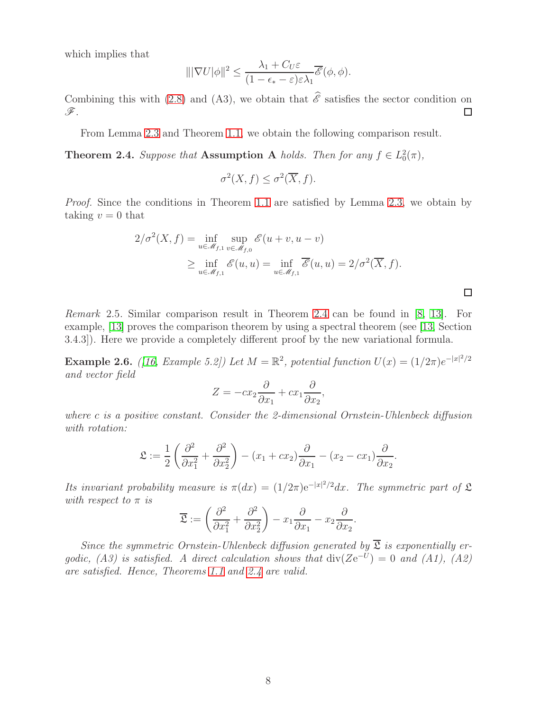which implies that

$$
\|\nabla U|\phi\|^2 \le \frac{\lambda_1 + C_U \varepsilon}{(1 - \epsilon_* - \varepsilon)\varepsilon \lambda_1} \overline{\mathscr{E}}(\phi, \phi).
$$

Combining this with [\(2.8\)](#page-6-1) and (A3), we obtain that  $\hat{\mathscr{E}}$  satisfies the sector condition on  $\mathscr{F}$ . F.

From Lemma [2.3](#page-6-2) and Theorem [1.1,](#page-1-2) we obtain the following comparison result.

<span id="page-7-0"></span>**Theorem 2.4.** Suppose that **Assumption A** holds. Then for any  $f \in L_0^2(\pi)$ ,

$$
\sigma^2(X, f) \le \sigma^2(\overline{X}, f).
$$

Proof. Since the conditions in Theorem [1.1](#page-1-2) are satisfied by Lemma [2.3,](#page-6-2) we obtain by taking  $v = 0$  that

$$
2/\sigma^{2}(X, f) = \inf_{u \in \mathcal{M}_{f,1}} \sup_{v \in \mathcal{M}_{f,0}} \mathcal{E}(u + v, u - v)
$$
  
 
$$
\geq \inf_{u \in \mathcal{M}_{f,1}} \mathcal{E}(u, u) = \inf_{u \in \mathcal{M}_{f,1}} \overline{\mathcal{E}}(u, u) = 2/\sigma^{2}(\overline{X}, f).
$$

 $\Box$ 

Remark 2.5. Similar comparison result in Theorem [2.4](#page-7-0) can be found in [\[8,](#page-11-5) [13\]](#page-12-9). For example, [\[13\]](#page-12-9) proves the comparison theorem by using a spectral theorem (see [\[13,](#page-12-9) Section 3.4.3]). Here we provide a completely different proof by the new variational formula.

Example 2.6. ([\[16,](#page-12-16) Example 5.2]) Let  $M = \mathbb{R}^2$ , potential function  $U(x) = (1/2\pi)e^{-|x|^2/2}$ and vector field

$$
Z = -cx_2 \frac{\partial}{\partial x_1} + cx_1 \frac{\partial}{\partial x_2},
$$

where c is a positive constant. Consider the 2-dimensional Ornstein-Uhlenbeck diffusion with rotation:

$$
\mathfrak{L} := \frac{1}{2} \left( \frac{\partial^2}{\partial x_1^2} + \frac{\partial^2}{\partial x_2^2} \right) - (x_1 + cx_2) \frac{\partial}{\partial x_1} - (x_2 - cx_1) \frac{\partial}{\partial x_2}.
$$

Its invariant probability measure is  $\pi(dx) = (1/2\pi)e^{-|x|^2/2}dx$ . The symmetric part of  $\mathfrak L$ with respect to  $\pi$  is

$$
\overline{\mathfrak{L}} := \left(\frac{\partial^2}{\partial x_1^2} + \frac{\partial^2}{\partial x_2^2}\right) - x_1 \frac{\partial}{\partial x_1} - x_2 \frac{\partial}{\partial x_2}.
$$

Since the symmetric Ornstein-Uhlenbeck diffusion generated by  $\overline{\mathfrak{L}}$  is exponentially ergodic, (A3) is satisfied. A direct calculation shows that  $div(Ze^{-U}) = 0$  and (A1), (A2) are satisfied. Hence, Theorems [1.1](#page-1-2) and [2.4](#page-7-0) are valid.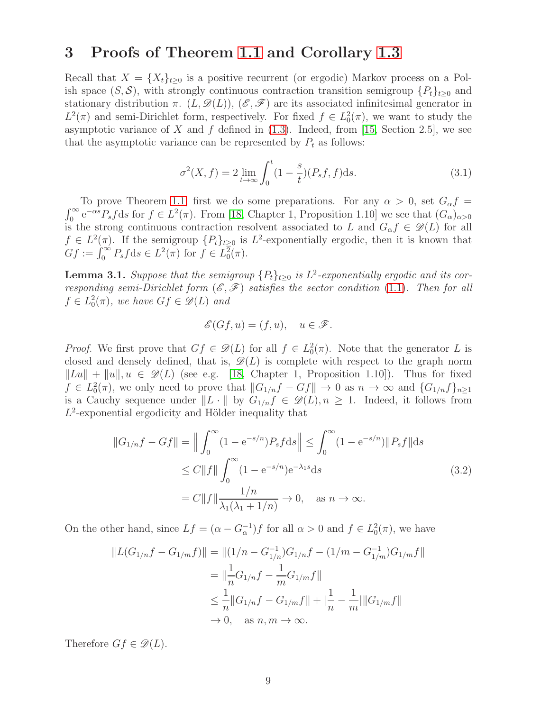### 3 Proofs of Theorem [1.1](#page-1-2) and Corollary [1.3](#page-2-0)

Recall that  $X = \{X_t\}_{t>0}$  is a positive recurrent (or ergodic) Markov process on a Polish space  $(S, \mathcal{S})$ , with strongly continuous contraction transition semigroup  $\{P_t\}_{t\geq 0}$  and stationary distribution  $\pi$ .  $(L, \mathscr{D}(L))$ ,  $(\mathscr{E}, \mathscr{F})$  are its associated infinitesimal generator in  $L^2(\pi)$  and semi-Dirichlet form, respectively. For fixed  $f \in L_0^2(\pi)$ , we want to study the asymptotic variance of X and f defined in  $(1.3)$ . Indeed, from [\[15,](#page-12-12) Section 2.5], we see that the asymptotic variance can be represented by  $P_t$  as follows:

<span id="page-8-2"></span>
$$
\sigma^{2}(X,f) = 2 \lim_{t \to \infty} \int_{0}^{t} (1 - \frac{s}{t})(P_{s}f,f)ds.
$$
\n(3.1)

To prove Theorem [1.1,](#page-1-2) first we do some preparations. For any  $\alpha > 0$ , set  $G_{\alpha} f = \int_0^{\infty} e^{-\alpha s} P_s f ds$  for  $f \in L^2(\pi)$ . From [\[18,](#page-12-11) Chapter 1, Proposition 1.10] we see that  $(G_{\alpha})_{\alpha > 0}$ is the strong continuous contraction resolvent associated to L and  $G_{\alpha} f \in \mathscr{D}(L)$  for all  $f \in L^2(\pi)$ . If the semigroup  $\{P_t\}_{t\geq 0}$  is  $L^2$ -exponentially ergodic, then it is known that  $Gf := \int_0^\infty P_s f \, ds \in L^2(\pi) \text{ for } f \in L^2_0(\pi).$ 

<span id="page-8-0"></span>**Lemma 3.1.** Suppose that the semigroup  $\{P_t\}_{t\geq 0}$  is  $L^2$ -exponentially ergodic and its corresponding semi-Dirichlet form  $(\mathscr{E}, \mathscr{F})$  satisfies the sector condition [\(1.1\)](#page-1-5). Then for all  $f \in L_0^2(\pi)$ , we have  $Gf \in \mathscr{D}(L)$  and

<span id="page-8-1"></span>
$$
\mathscr{E}(Gf, u) = (f, u), \quad u \in \mathscr{F}.
$$

*Proof.* We first prove that  $Gf \in \mathcal{D}(L)$  for all  $f \in L_0^2(\pi)$ . Note that the generator L is closed and densely defined, that is,  $\mathscr{D}(L)$  is complete with respect to the graph norm  $\|Lu\| + \|u\|, u \in \mathscr{D}(L)$  (see e.g. [\[18,](#page-12-11) Chapter 1, Proposition 1.10]). Thus for fixed  $f \in L_0^2(\pi)$ , we only need to prove that  $||G_{1/n}f - Gf|| \to 0$  as  $n \to \infty$  and  $\{G_{1/n}f\}_{n \ge 1}$ is a Cauchy sequence under  $||L \cdot ||$  by  $G_{1/n}f \in \mathscr{D}(L), n \ge 1$ . Indeed, it follows from  $L^2$ -exponential ergodicity and Hölder inequality that

$$
||G_{1/n}f - Gf|| = \Big\|\int_0^\infty (1 - e^{-s/n})P_s f ds\Big\| \le \int_0^\infty (1 - e^{-s/n})||P_s f|| ds
$$
  
\n
$$
\le C||f|| \int_0^\infty (1 - e^{-s/n})e^{-\lambda_1 s} ds
$$
  
\n
$$
= C||f|| \frac{1/n}{\lambda_1(\lambda_1 + 1/n)} \to 0, \text{ as } n \to \infty.
$$
\n(3.2)

On the other hand, since  $Lf = (\alpha - G_{\alpha}^{-1})f$  for all  $\alpha > 0$  and  $f \in L_0^2(\pi)$ , we have

$$
||L(G_{1/n}f - G_{1/m}f)|| = ||(1/n - G_{1/n}^{-1})G_{1/n}f - (1/m - G_{1/m}^{-1})G_{1/m}f||
$$
  
\n
$$
= ||\frac{1}{n}G_{1/n}f - \frac{1}{m}G_{1/m}f||
$$
  
\n
$$
\leq \frac{1}{n}||G_{1/n}f - G_{1/m}f|| + |\frac{1}{n} - \frac{1}{m}|||G_{1/m}f||
$$
  
\n
$$
\to 0, \text{ as } n, m \to \infty.
$$

Therefore  $Gf \in \mathscr{D}(L)$ .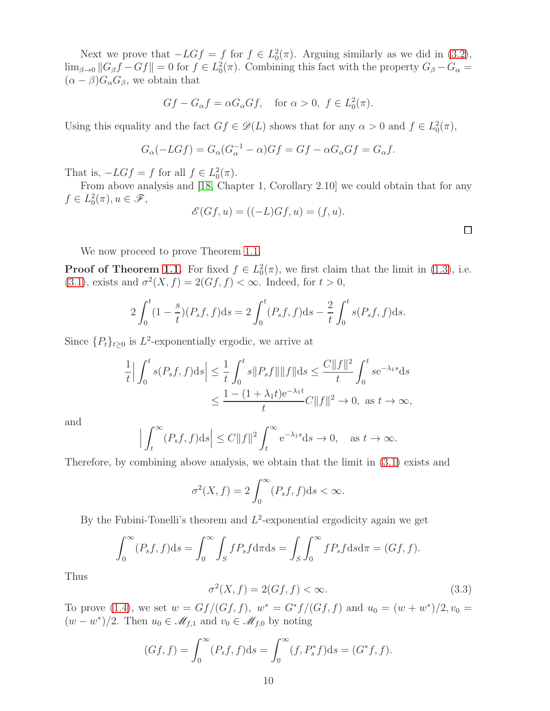Next we prove that  $-LGf = f$  for  $f \in L_0^2(\pi)$ . Arguing similarly as we did in [\(3.2\)](#page-8-1),  $\lim_{\beta\to 0} ||G_{\beta}f - Gf|| = 0$  for  $f \in L_0^2(\pi)$ . Combining this fact with the property  $G_{\beta} - G_{\alpha} =$  $(\alpha - \beta)G_{\alpha}G_{\beta}$ , we obtain that

$$
Gf - G_{\alpha}f = \alpha G_{\alpha}Gf, \quad \text{for } \alpha > 0, \ f \in L_0^2(\pi).
$$

Using this equality and the fact  $Gf \in \mathcal{D}(L)$  shows that for any  $\alpha > 0$  and  $f \in L_0^2(\pi)$ ,

$$
G_{\alpha}(-LGf) = G_{\alpha}(G_{\alpha}^{-1} - \alpha)Gf = Gf - \alpha G_{\alpha}Gf = G_{\alpha}f.
$$

That is,  $-LGf = f$  for all  $f \in L_0^2(\pi)$ .

From above analysis and [\[18,](#page-12-11) Chapter 1, Corollary 2.10] we could obtain that for any  $f \in L_0^2(\pi), u \in \mathscr{F},$ 

$$
\mathscr{E}(Gf, u) = ((-L)Gf, u) = (f, u).
$$

We now proceed to prove Theorem [1.1.](#page-1-2)

**Proof of Theorem [1.1.](#page-1-2)** For fixed  $f \in L_0^2(\pi)$ , we first claim that the limit in [\(1.3\)](#page-1-0), i.e. [\(3.1\)](#page-8-2), exists and  $\sigma^2(X, f) = 2(Gf, f) < \infty$ . Indeed, for  $t > 0$ ,

$$
2\int_0^t (1 - \frac{s}{t})(P_s f, f) ds = 2\int_0^t (P_s f, f) ds - \frac{2}{t} \int_0^t s(P_s f, f) ds.
$$

Since  $\{P_t\}_{t\geq 0}$  is  $L^2$ -exponentially ergodic, we arrive at

$$
\frac{1}{t} \Big| \int_0^t s(P_s f, f) \, ds \Big| \le \frac{1}{t} \int_0^t s \|P_s f\| \|f\| \, ds \le \frac{C \|f\|^2}{t} \int_0^t s e^{-\lambda_1 s} \, ds
$$
\n
$$
\le \frac{1 - (1 + \lambda_1 t) e^{-\lambda_1 t}}{t} C \|f\|^2 \to 0, \text{ as } t \to \infty,
$$

and

$$
\left| \int_t^{\infty} (P_s f, f) \mathrm{d}s \right| \le C \|f\|^2 \int_t^{\infty} e^{-\lambda_1 s} \mathrm{d}s \to 0, \quad \text{as } t \to \infty.
$$

Therefore, by combining above analysis, we obtain that the limit in [\(3.1\)](#page-8-2) exists and

$$
\sigma^2(X, f) = 2 \int_0^\infty (P_s f, f) \mathrm{d} s < \infty.
$$

By the Fubini-Tonelli's theorem and  $L^2$ -exponential ergodicity again we get

$$
\int_0^\infty (P_s f, f) \mathrm{d}s = \int_0^\infty \int_S f P_s f \mathrm{d}\pi \mathrm{d}s = \int_S \int_0^\infty f P_s f \mathrm{d}s \mathrm{d}\pi = (Gf, f).
$$

<span id="page-9-0"></span>Thus

$$
\sigma^2(X, f) = 2(Gf, f) < \infty. \tag{3.3}
$$

To prove [\(1.4\)](#page-1-1), we set  $w = Gf/(Gf, f)$ ,  $w^* = G^*f/(Gf, f)$  and  $u_0 = (w + w^*)/2$ ,  $v_0 =$  $(w - w^*)/2$ . Then  $u_0 \in \mathcal{M}_{f,1}$  and  $v_0 \in \mathcal{M}_{f,0}$  by noting

$$
(Gf, f) = \int_0^\infty (P_s f, f) \mathrm{d}s = \int_0^\infty (f, P_s^* f) \mathrm{d}s = (G^* f, f).
$$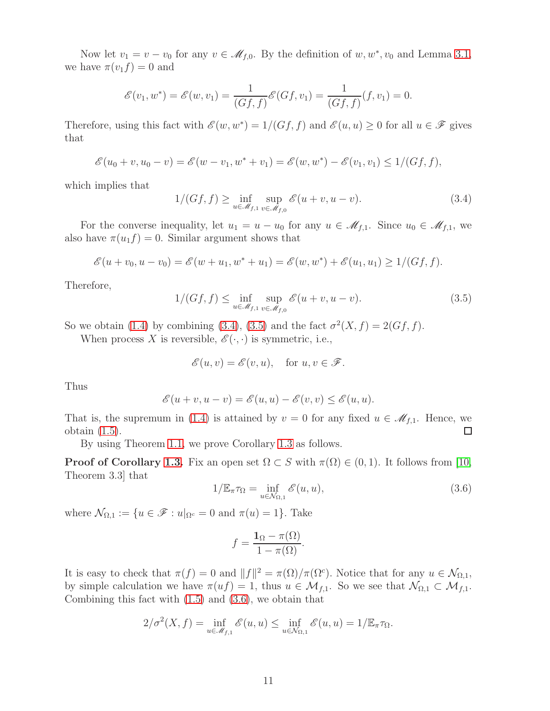Now let  $v_1 = v - v_0$  for any  $v \in \mathcal{M}_{f,0}$ . By the definition of  $w, w^*, v_0$  and Lemma [3.1,](#page-8-0) we have  $\pi(v_1f)=0$  and

$$
\mathscr{E}(v_1, w^*) = \mathscr{E}(w, v_1) = \frac{1}{(Gf, f)} \mathscr{E}(Gf, v_1) = \frac{1}{(Gf, f)} (f, v_1) = 0.
$$

Therefore, using this fact with  $\mathscr{E}(w, w^*) = 1/(Gf, f)$  and  $\mathscr{E}(u, u) \ge 0$  for all  $u \in \mathscr{F}$  gives that

$$
\mathscr{E}(u_0 + v, u_0 - v) = \mathscr{E}(w - v_1, w^* + v_1) = \mathscr{E}(w, w^*) - \mathscr{E}(v_1, v_1) \le 1/(Gf, f),
$$

which implies that

<span id="page-10-0"></span>
$$
1/(Gf, f) \ge \inf_{u \in \mathcal{M}_{f,1}} \sup_{v \in \mathcal{M}_{f,0}} \mathcal{E}(u+v, u-v).
$$
\n(3.4)

For the converse inequality, let  $u_1 = u - u_0$  for any  $u \in \mathcal{M}_{f,1}$ . Since  $u_0 \in \mathcal{M}_{f,1}$ , we also have  $\pi(u_1f) = 0$ . Similar argument shows that

<span id="page-10-1"></span>
$$
\mathscr{E}(u + v_0, u - v_0) = \mathscr{E}(w + u_1, w^* + u_1) = \mathscr{E}(w, w^*) + \mathscr{E}(u_1, u_1) \ge 1/(Gf, f).
$$

Therefore,

$$
1/(Gf, f) \le \inf_{u \in \mathcal{M}_{f,1}} \sup_{v \in \mathcal{M}_{f,0}} \mathcal{E}(u+v, u-v).
$$
\n(3.5)

So we obtain [\(1.4\)](#page-1-1) by combining [\(3.4\)](#page-10-0), [\(3.5\)](#page-10-1) and the fact  $\sigma^2(X, f) = 2(Gf, f)$ .

When process X is reversible,  $\mathscr{E}(\cdot, \cdot)$  is symmetric, i.e.,

$$
\mathscr{E}(u,v)=\mathscr{E}(v,u),\quad\text{for }u,v\in\mathscr{F}.
$$

Thus

$$
\mathscr{E}(u+v,u-v)=\mathscr{E}(u,u)-\mathscr{E}(v,v)\leq \mathscr{E}(u,u).
$$

That is, the supremum in [\(1.4\)](#page-1-1) is attained by  $v = 0$  for any fixed  $u \in \mathcal{M}_{f,1}$ . Hence, we obtain (1.5). obtain [\(1.5\)](#page-1-4).

By using Theorem [1.1,](#page-1-2) we prove Corollary [1.3](#page-2-0) as follows.

**Proof of Corollary [1.3.](#page-2-0)** Fix an open set  $\Omega \subset S$  with  $\pi(\Omega) \in (0,1)$ . It follows from [\[10,](#page-12-13) Theorem 3.3] that

<span id="page-10-2"></span>
$$
1/\mathbb{E}_{\pi}\tau_{\Omega} = \inf_{u \in \mathcal{N}_{\Omega,1}} \mathcal{E}(u, u), \tag{3.6}
$$

where  $\mathcal{N}_{\Omega,1} := \{u \in \mathscr{F} : u|_{\Omega^c} = 0 \text{ and } \pi(u) = 1\}.$  Take

$$
f = \frac{\mathbf{1}_{\Omega} - \pi(\Omega)}{1 - \pi(\Omega)}.
$$

It is easy to check that  $\pi(f) = 0$  and  $||f||^2 = \pi(\Omega)/\pi(\Omega^c)$ . Notice that for any  $u \in \mathcal{N}_{\Omega,1}$ , by simple calculation we have  $\pi(uf) = 1$ , thus  $u \in \mathcal{M}_{f,1}$ . So we see that  $\mathcal{N}_{\Omega,1} \subset \mathcal{M}_{f,1}$ . Combining this fact with  $(1.5)$  and  $(3.6)$ , we obtain that

$$
2/\sigma^2(X,f) = \inf_{u \in \mathcal{M}_{f,1}} \mathscr{E}(u,u) \le \inf_{u \in \mathcal{N}_{\Omega,1}} \mathscr{E}(u,u) = 1/\mathbb{E}_{\pi}\tau_{\Omega}.
$$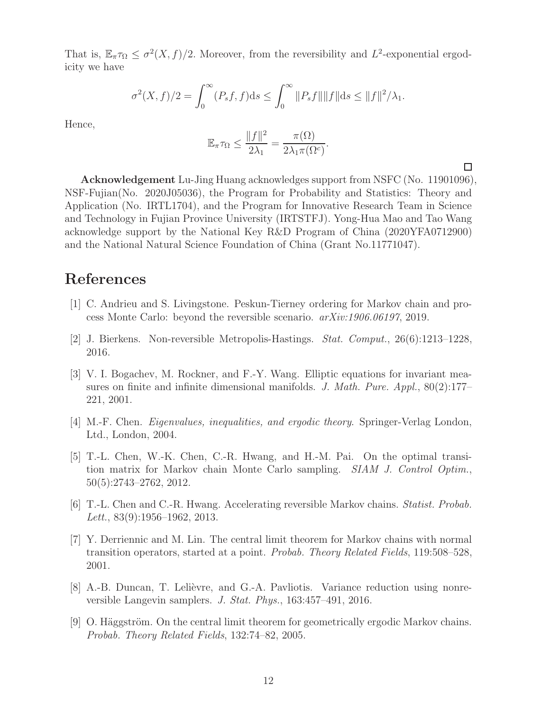That is,  $\mathbb{E}_{\pi}\tau_{\Omega} \leq \sigma^2(X, f)/2$ . Moreover, from the reversibility and  $L^2$ -exponential ergodicity we have

$$
\sigma^{2}(X,f)/2 = \int_{0}^{\infty} (P_{s}f,f)ds \le \int_{0}^{\infty} ||P_{s}f|| ||f|| ds \le ||f||^{2}/\lambda_{1}.
$$

Hence,

$$
\mathbb{E}_{\pi}\tau_{\Omega} \le \frac{\|f\|^2}{2\lambda_1} = \frac{\pi(\Omega)}{2\lambda_1\pi(\Omega^c)}.
$$

 $\Box$ 

Acknowledgement Lu-Jing Huang acknowledges support from NSFC (No. 11901096), NSF-Fujian(No. 2020J05036), the Program for Probability and Statistics: Theory and Application (No. IRTL1704), and the Program for Innovative Research Team in Science and Technology in Fujian Province University (IRTSTFJ). Yong-Hua Mao and Tao Wang acknowledge support by the National Key R&D Program of China (2020YFA0712900) and the National Natural Science Foundation of China (Grant No.11771047).

## <span id="page-11-0"></span>References

- <span id="page-11-3"></span>[1] C. Andrieu and S. Livingstone. Peskun-Tierney ordering for Markov chain and process Monte Carlo: beyond the reversible scenario. arXiv:1906.06197, 2019.
- <span id="page-11-8"></span>[2] J. Bierkens. Non-reversible Metropolis-Hastings. Stat. Comput., 26(6):1213–1228, 2016.
- [3] V. I. Bogachev, M. Rockner, and F.-Y. Wang. Elliptic equations for invariant measures on finite and infinite dimensional manifolds. J. Math. Pure.  $Appl., 80(2):177-$ 221, 2001.
- <span id="page-11-7"></span><span id="page-11-1"></span>[4] M.-F. Chen. Eigenvalues, inequalities, and ergodic theory. Springer-Verlag London, Ltd., London, 2004.
- [5] T.-L. Chen, W.-K. Chen, C.-R. Hwang, and H.-M. Pai. On the optimal transition matrix for Markov chain Monte Carlo sampling. SIAM J. Control Optim., 50(5):2743–2762, 2012.
- <span id="page-11-4"></span>[6] T.-L. Chen and C.-R. Hwang. Accelerating reversible Markov chains. Statist. Probab. Lett.,  $83(9):1956-1962$ ,  $2013$ .
- <span id="page-11-2"></span>[7] Y. Derriennic and M. Lin. The central limit theorem for Markov chains with normal transition operators, started at a point. Probab. Theory Related Fields, 119:508–528, 2001.
- <span id="page-11-5"></span>[8] A.-B. Duncan, T. Lelièvre, and G.-A. Pavliotis. Variance reduction using nonreversible Langevin samplers. J. Stat. Phys., 163:457–491, 2016.
- <span id="page-11-6"></span>[9] O. Häggström. On the central limit theorem for geometrically ergodic Markov chains. Probab. Theory Related Fields, 132:74–82, 2005.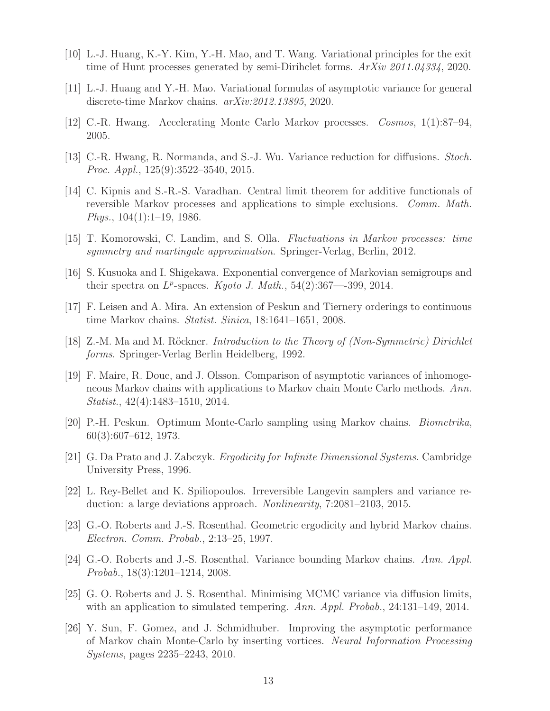- <span id="page-12-13"></span><span id="page-12-5"></span>[10] L.-J. Huang, K.-Y. Kim, Y.-H. Mao, and T. Wang. Variational principles for the exit time of Hunt processes generated by semi-Dirihclet forms.  $ArXiv$  2011.04334, 2020.
- <span id="page-12-7"></span>[11] L.-J. Huang and Y.-H. Mao. Variational formulas of asymptotic variance for general discrete-time Markov chains. arXiv:2012.13895, 2020.
- <span id="page-12-9"></span>[12] C.-R. Hwang. Accelerating Monte Carlo Markov processes. Cosmos, 1(1):87–94, 2005.
- <span id="page-12-3"></span>[13] C.-R. Hwang, R. Normanda, and S.-J. Wu. Variance reduction for diffusions. Stoch. Proc. Appl., 125(9):3522–3540, 2015.
- [14] C. Kipnis and S.-R.-S. Varadhan. Central limit theorem for additive functionals of reversible Markov processes and applications to simple exclusions. Comm. Math. *Phys.*,  $104(1):1-19$ , 1986.
- <span id="page-12-16"></span><span id="page-12-12"></span>[15] T. Komorowski, C. Landim, and S. Olla. Fluctuations in Markov processes: time symmetry and martingale approximation. Springer-Verlag, Berlin, 2012.
- <span id="page-12-6"></span>[16] S. Kusuoka and I. Shigekawa. Exponential convergence of Markovian semigroups and their spectra on  $L^p$ -spaces. Kyoto J. Math., 54(2):367—399, 2014.
- <span id="page-12-11"></span>[17] F. Leisen and A. Mira. An extension of Peskun and Tiernery orderings to continuous time Markov chains. Statist. Sinica, 18:1641–1651, 2008.
- <span id="page-12-0"></span>[18] Z.-M. Ma and M. Röckner. *Introduction to the Theory of (Non-Symmetric) Dirichlet* forms. Springer-Verlag Berlin Heidelberg, 1992.
- [19] F. Maire, R. Douc, and J. Olsson. Comparison of asymptotic variances of inhomogeneous Markov chains with applications to Markov chain Monte Carlo methods. Ann. Statist., 42(4):1483–1510, 2014.
- <span id="page-12-15"></span><span id="page-12-1"></span>[20] P.-H. Peskun. Optimum Monte-Carlo sampling using Markov chains. Biometrika, 60(3):607–612, 1973.
- <span id="page-12-10"></span>[21] G. Da Prato and J. Zabczyk. Ergodicity for Infinite Dimensional Systems. Cambridge University Press, 1996.
- [22] L. Rey-Bellet and K. Spiliopoulos. Irreversible Langevin samplers and variance reduction: a large deviations approach. Nonlinearity, 7:2081–2103, 2015.
- <span id="page-12-4"></span>[23] G.-O. Roberts and J.-S. Rosenthal. Geometric ergodicity and hybrid Markov chains. Electron. Comm. Probab., 2:13–25, 1997.
- <span id="page-12-2"></span>[24] G.-O. Roberts and J.-S. Rosenthal. Variance bounding Markov chains. Ann. Appl. Probab., 18(3):1201–1214, 2008.
- <span id="page-12-14"></span>[25] G. O. Roberts and J. S. Rosenthal. Minimising MCMC variance via diffusion limits, with an application to simulated tempering. Ann. Appl. Probab., 24:131–149, 2014.
- <span id="page-12-8"></span>[26] Y. Sun, F. Gomez, and J. Schmidhuber. Improving the asymptotic performance of Markov chain Monte-Carlo by inserting vortices. Neural Information Processing Systems, pages 2235–2243, 2010.